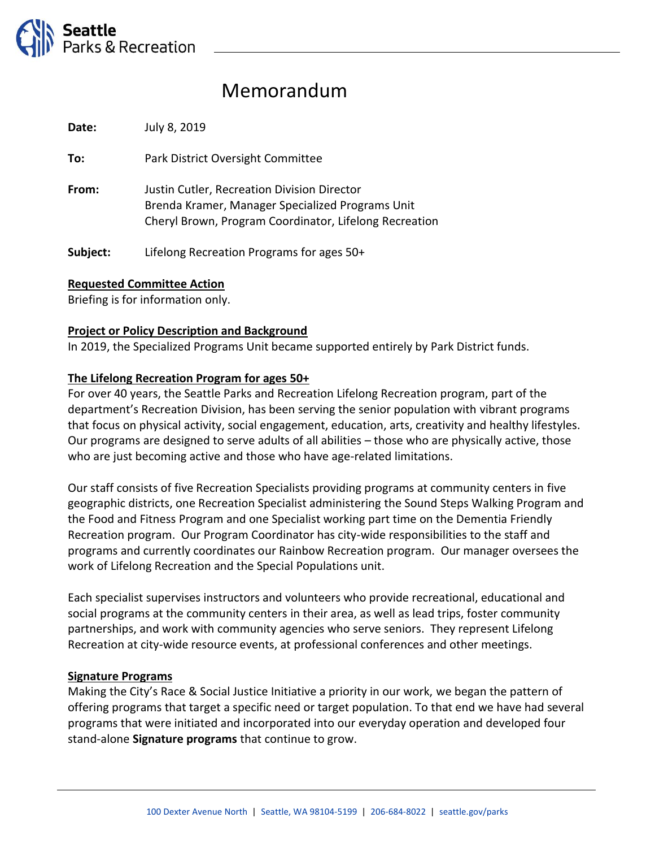

# Memorandum

**Date:** July 8, 2019

**To:** Park District Oversight Committee

**From:** Justin Cutler, Recreation Division Director Brenda Kramer, Manager Specialized Programs Unit Cheryl Brown, Program Coordinator, Lifelong Recreation

**Subject:** Lifelong Recreation Programs for ages 50+

## **Requested Committee Action**

Briefing is for information only.

## **Project or Policy Description and Background**

In 2019, the Specialized Programs Unit became supported entirely by Park District funds.

#### **The Lifelong Recreation Program for ages 50+**

For over 40 years, the Seattle Parks and Recreation Lifelong Recreation program, part of the department's Recreation Division, has been serving the senior population with vibrant programs that focus on physical activity, social engagement, education, arts, creativity and healthy lifestyles. Our programs are designed to serve adults of all abilities – those who are physically active, those who are just becoming active and those who have age-related limitations.

Our staff consists of five Recreation Specialists providing programs at community centers in five geographic districts, one Recreation Specialist administering the Sound Steps Walking Program and the Food and Fitness Program and one Specialist working part time on the Dementia Friendly Recreation program. Our Program Coordinator has city-wide responsibilities to the staff and programs and currently coordinates our Rainbow Recreation program. Our manager oversees the work of Lifelong Recreation and the Special Populations unit.

Each specialist supervises instructors and volunteers who provide recreational, educational and social programs at the community centers in their area, as well as lead trips, foster community partnerships, and work with community agencies who serve seniors. They represent Lifelong Recreation at city-wide resource events, at professional conferences and other meetings.

#### **Signature Programs**

Making the City's Race & Social Justice Initiative a priority in our work, we began the pattern of offering programs that target a specific need or target population. To that end we have had several programs that were initiated and incorporated into our everyday operation and developed four stand-alone **Signature programs** that continue to grow.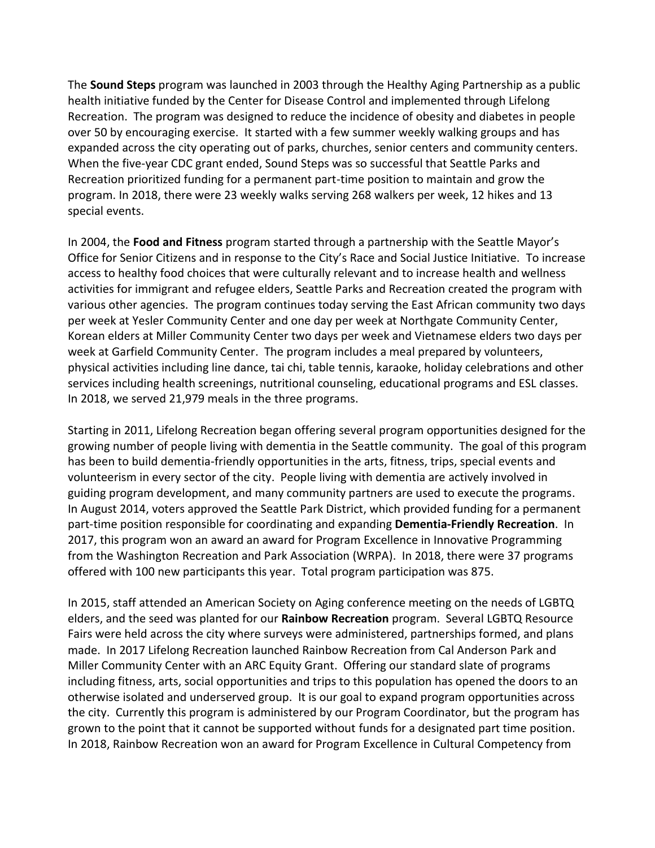The **Sound Steps** program was launched in 2003 through the Healthy Aging Partnership as a public health initiative funded by the Center for Disease Control and implemented through Lifelong Recreation. The program was designed to reduce the incidence of obesity and diabetes in people over 50 by encouraging exercise. It started with a few summer weekly walking groups and has expanded across the city operating out of parks, churches, senior centers and community centers. When the five-year CDC grant ended, Sound Steps was so successful that Seattle Parks and Recreation prioritized funding for a permanent part-time position to maintain and grow the program. In 2018, there were 23 weekly walks serving 268 walkers per week, 12 hikes and 13 special events.

In 2004, the **Food and Fitness** program started through a partnership with the Seattle Mayor's Office for Senior Citizens and in response to the City's Race and Social Justice Initiative. To increase access to healthy food choices that were culturally relevant and to increase health and wellness activities for immigrant and refugee elders, Seattle Parks and Recreation created the program with various other agencies. The program continues today serving the East African community two days per week at Yesler Community Center and one day per week at Northgate Community Center, Korean elders at Miller Community Center two days per week and Vietnamese elders two days per week at Garfield Community Center. The program includes a meal prepared by volunteers, physical activities including line dance, tai chi, table tennis, karaoke, holiday celebrations and other services including health screenings, nutritional counseling, educational programs and ESL classes. In 2018, we served 21,979 meals in the three programs.

Starting in 2011, Lifelong Recreation began offering several program opportunities designed for the growing number of people living with dementia in the Seattle community. The goal of this program has been to build dementia-friendly opportunities in the arts, fitness, trips, special events and volunteerism in every sector of the city. People living with dementia are actively involved in guiding program development, and many community partners are used to execute the programs. In August 2014, voters approved the Seattle Park District, which provided funding for a permanent part-time position responsible for coordinating and expanding **Dementia-Friendly Recreation**. In 2017, this program won an award an award for Program Excellence in Innovative Programming from the Washington Recreation and Park Association (WRPA). In 2018, there were 37 programs offered with 100 new participants this year. Total program participation was 875.

In 2015, staff attended an American Society on Aging conference meeting on the needs of LGBTQ elders, and the seed was planted for our **Rainbow Recreation** program. Several LGBTQ Resource Fairs were held across the city where surveys were administered, partnerships formed, and plans made. In 2017 Lifelong Recreation launched Rainbow Recreation from Cal Anderson Park and Miller Community Center with an ARC Equity Grant. Offering our standard slate of programs including fitness, arts, social opportunities and trips to this population has opened the doors to an otherwise isolated and underserved group. It is our goal to expand program opportunities across the city. Currently this program is administered by our Program Coordinator, but the program has grown to the point that it cannot be supported without funds for a designated part time position. In 2018, Rainbow Recreation won an award for Program Excellence in Cultural Competency from